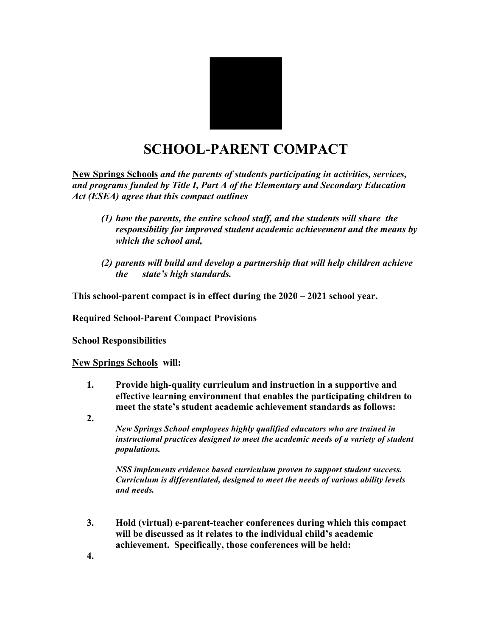

## **SCHOOL-PARENT COMPACT**

**New Springs Schools** *and the parents of students participating in activities, services, and programs funded by Title I, Part A of the Elementary and Secondary Education Act (ESEA) agree that this compact outlines*

- *(1) how the parents, the entire school staff, and the students will share the responsibility for improved student academic achievement and the means by which the school and,*
- *(2) parents will build and develop a partnership that will help children achieve the state's high standards.*

**This school-parent compact is in effect during the 2020 – 2021 school year.**

**Required School-Parent Compact Provisions**

**School Responsibilities**

**New Springs Schools will:**

- **1. Provide high-quality curriculum and instruction in a supportive and effective learning environment that enables the participating children to meet the state's student academic achievement standards as follows:**
- **2.**

*New Springs School employees highly qualified educators who are trained in instructional practices designed to meet the academic needs of a variety of student populations.* 

*NSS implements evidence based curriculum proven to support student success. Curriculum is differentiated, designed to meet the needs of various ability levels and needs.* 

**3. Hold (virtual) e-parent-teacher conferences during which this compact will be discussed as it relates to the individual child's academic achievement. Specifically, those conferences will be held:**

**4.**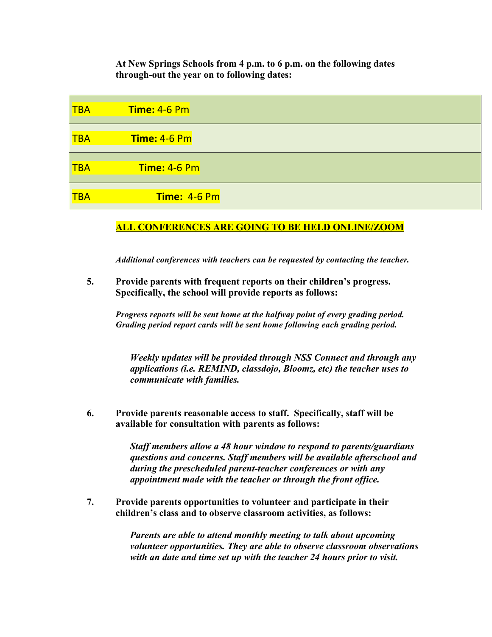**At New Springs Schools from 4 p.m. to 6 p.m. on the following dates through-out the year on to following dates:** 

| $\overline{\mathsf{TBA}}$ | Time: 4-6 Pm |  |
|---------------------------|--------------|--|
| <b>TBA</b>                | Time: 4-6 Pm |  |
| $\overline{\mathsf{TBA}}$ | Time: 4-6 Pm |  |
| <b>TBA</b>                | Time: 4-6 Pm |  |

## **ALL CONFERENCES ARE GOING TO BE HELD ONLINE/ZOOM**

*Additional conferences with teachers can be requested by contacting the teacher.* 

**5. Provide parents with frequent reports on their children's progress. Specifically, the school will provide reports as follows:**

*Progress reports will be sent home at the halfway point of every grading period. Grading period report cards will be sent home following each grading period.* 

*Weekly updates will be provided through NSS Connect and through any applications (i.e. REMIND, classdojo, Bloomz, etc) the teacher uses to communicate with families.*

**6. Provide parents reasonable access to staff. Specifically, staff will be available for consultation with parents as follows:**

> *Staff members allow a 48 hour window to respond to parents/guardians questions and concerns. Staff members will be available afterschool and during the prescheduled parent-teacher conferences or with any appointment made with the teacher or through the front office.*

**7. Provide parents opportunities to volunteer and participate in their children's class and to observe classroom activities, as follows:**

> *Parents are able to attend monthly meeting to talk about upcoming volunteer opportunities. They are able to observe classroom observations with an date and time set up with the teacher 24 hours prior to visit.*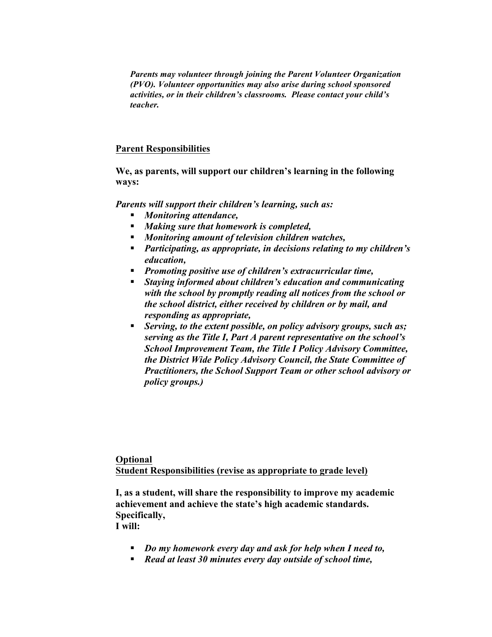*Parents may volunteer through joining the Parent Volunteer Organization (PVO). Volunteer opportunities may also arise during school sponsored activities, or in their children's classrooms. Please contact your child's teacher.* 

## **Parent Responsibilities**

**We, as parents, will support our children's learning in the following ways:**

*Parents will support their children's learning, such as:*

- § *Monitoring attendance,*
- § *Making sure that homework is completed,*
- § *Monitoring amount of television children watches,*
- § *Participating, as appropriate, in decisions relating to my children's education,*
- § *Promoting positive use of children's extracurricular time,*
- § *Staying informed about children's education and communicating with the school by promptly reading all notices from the school or the school district, either received by children or by mail, and responding as appropriate,*
- § *Serving, to the extent possible, on policy advisory groups, such as; serving as the Title I, Part A parent representative on the school's School Improvement Team, the Title I Policy Advisory Committee, the District Wide Policy Advisory Council, the State Committee of Practitioners, the School Support Team or other school advisory or policy groups.)*

**Optional Student Responsibilities (revise as appropriate to grade level)**

**I, as a student, will share the responsibility to improve my academic achievement and achieve the state's high academic standards. Specifically, I will:**

- § *Do my homework every day and ask for help when I need to,*
- § *Read at least 30 minutes every day outside of school time,*